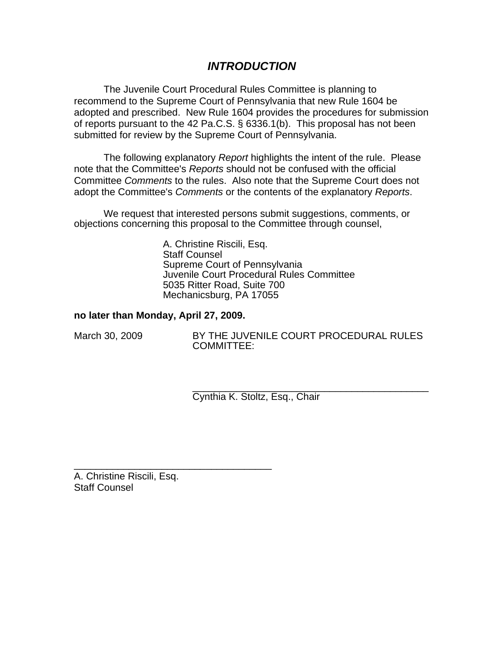# *INTRODUCTION*

The Juvenile Court Procedural Rules Committee is planning to recommend to the Supreme Court of Pennsylvania that new Rule 1604 be adopted and prescribed. New Rule 1604 provides the procedures for submission of reports pursuant to the 42 Pa.C.S. § 6336.1(b). This proposal has not been submitted for review by the Supreme Court of Pennsylvania.

The following explanatory *Report* highlights the intent of the rule. Please note that the Committee's *Reports* should not be confused with the official Committee *Comments* to the rules. Also note that the Supreme Court does not adopt the Committee's *Comments* or the contents of the explanatory *Reports*.

We request that interested persons submit suggestions, comments, or objections concerning this proposal to the Committee through counsel,

> A. Christine Riscili, Esq. Staff Counsel Supreme Court of Pennsylvania Juvenile Court Procedural Rules Committee 5035 Ritter Road, Suite 700 Mechanicsburg, PA 17055

## **no later than Monday, April 27, 2009.**

\_\_\_\_\_\_\_\_\_\_\_\_\_\_\_\_\_\_\_\_\_\_\_\_\_\_\_\_\_\_\_\_\_\_\_\_

March 30, 2009 BY THE JUVENILE COURT PROCEDURAL RULES COMMITTEE:

> \_\_\_\_\_\_\_\_\_\_\_\_\_\_\_\_\_\_\_\_\_\_\_\_\_\_\_\_\_\_\_\_\_\_\_\_\_\_\_\_\_\_\_ Cynthia K. Stoltz, Esq., Chair

A. Christine Riscili, Esq. Staff Counsel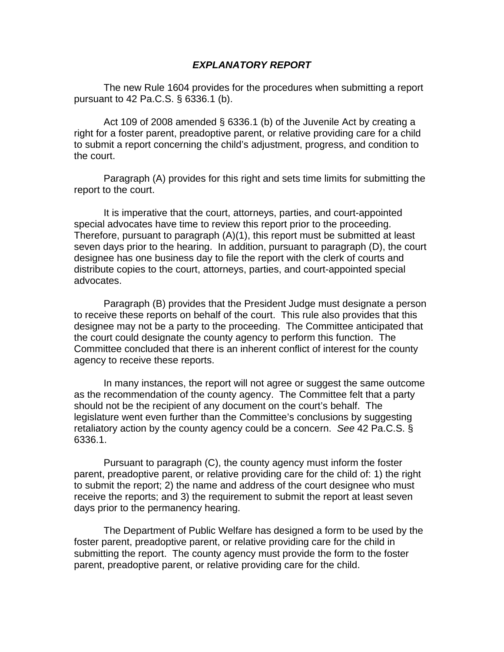#### *EXPLANATORY REPORT*

The new Rule 1604 provides for the procedures when submitting a report pursuant to 42 Pa.C.S. § 6336.1 (b).

Act 109 of 2008 amended § 6336.1 (b) of the Juvenile Act by creating a right for a foster parent, preadoptive parent, or relative providing care for a child to submit a report concerning the child's adjustment, progress, and condition to the court.

Paragraph (A) provides for this right and sets time limits for submitting the report to the court.

It is imperative that the court, attorneys, parties, and court-appointed special advocates have time to review this report prior to the proceeding. Therefore, pursuant to paragraph (A)(1), this report must be submitted at least seven days prior to the hearing. In addition, pursuant to paragraph (D), the court designee has one business day to file the report with the clerk of courts and distribute copies to the court, attorneys, parties, and court-appointed special advocates.

Paragraph (B) provides that the President Judge must designate a person to receive these reports on behalf of the court. This rule also provides that this designee may not be a party to the proceeding. The Committee anticipated that the court could designate the county agency to perform this function. The Committee concluded that there is an inherent conflict of interest for the county agency to receive these reports.

In many instances, the report will not agree or suggest the same outcome as the recommendation of the county agency. The Committee felt that a party should not be the recipient of any document on the court's behalf. The legislature went even further than the Committee's conclusions by suggesting retaliatory action by the county agency could be a concern. *See* 42 Pa.C.S. § 6336.1.

Pursuant to paragraph (C), the county agency must inform the foster parent, preadoptive parent, or relative providing care for the child of: 1) the right to submit the report; 2) the name and address of the court designee who must receive the reports; and 3) the requirement to submit the report at least seven days prior to the permanency hearing.

The Department of Public Welfare has designed a form to be used by the foster parent, preadoptive parent, or relative providing care for the child in submitting the report. The county agency must provide the form to the foster parent, preadoptive parent, or relative providing care for the child.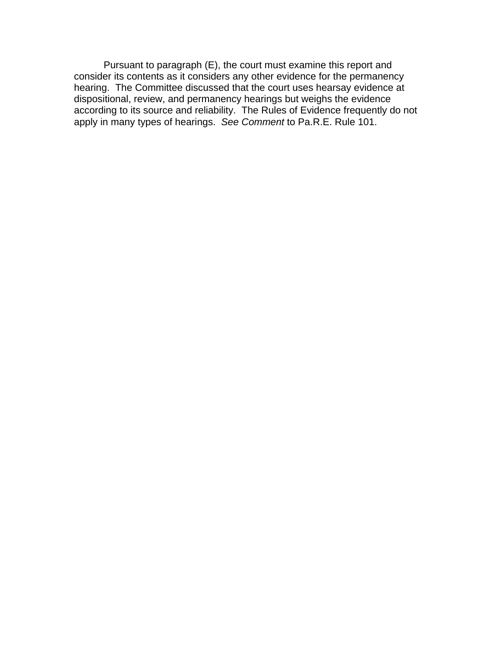Pursuant to paragraph (E), the court must examine this report and consider its contents as it considers any other evidence for the permanency hearing. The Committee discussed that the court uses hearsay evidence at dispositional, review, and permanency hearings but weighs the evidence according to its source and reliability. The Rules of Evidence frequently do not apply in many types of hearings. *See Comment* to Pa.R.E. Rule 101.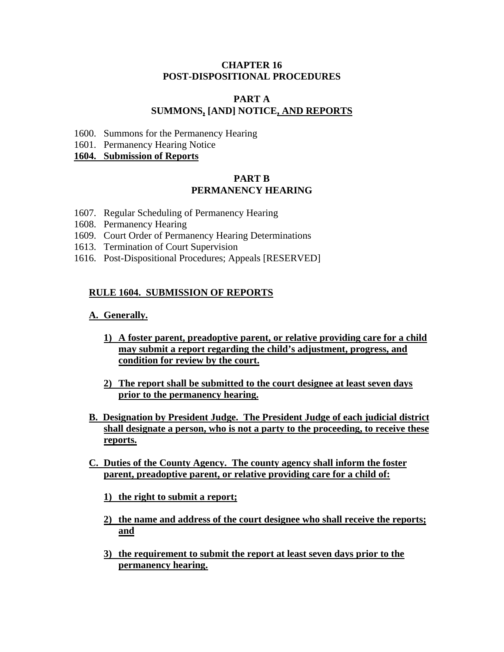## **CHAPTER 16 POST-DISPOSITIONAL PROCEDURES**

## **PART A SUMMONS, [AND] NOTICE, AND REPORTS**

- 1600. Summons for the Permanency Hearing
- 1601. Permanency Hearing Notice

**1604. Submission of Reports**

## **PART B PERMANENCY HEARING**

- 1607. Regular Scheduling of Permanency Hearing
- 1608. Permanency Hearing
- 1609. Court Order of Permanency Hearing Determinations
- 1613. Termination of Court Supervision
- 1616. Post-Dispositional Procedures; Appeals [RESERVED]

## **RULE 1604. SUBMISSION OF REPORTS**

#### **A. Generally.**

- **1) A foster parent, preadoptive parent, or relative providing care for a child may submit a report regarding the child's adjustment, progress, and condition for review by the court.**
- **2) The report shall be submitted to the court designee at least seven days prior to the permanency hearing.**
- **B. Designation by President Judge. The President Judge of each judicial district shall designate a person, who is not a party to the proceeding, to receive these reports.**
- **C. Duties of the County Agency. The county agency shall inform the foster parent, preadoptive parent, or relative providing care for a child of:**
	- **1) the right to submit a report;**
	- **2) the name and address of the court designee who shall receive the reports; and**
	- **3) the requirement to submit the report at least seven days prior to the permanency hearing.**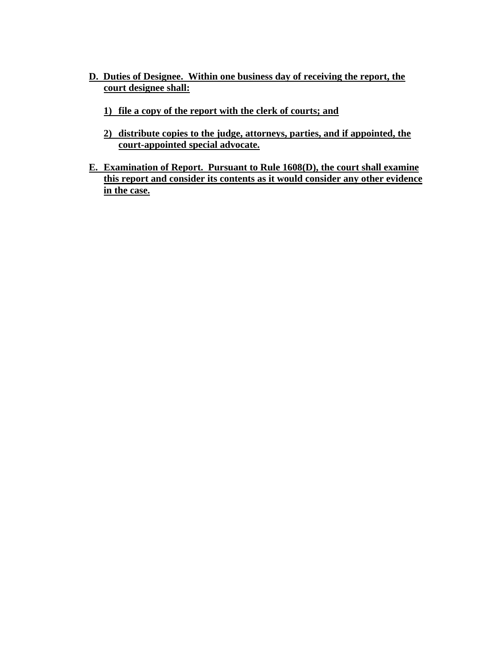- **D. Duties of Designee. Within one business day of receiving the report, the court designee shall:**
	- **1) file a copy of the report with the clerk of courts; and**
	- **2) distribute copies to the judge, attorneys, parties, and if appointed, the court-appointed special advocate.**
- **E. Examination of Report. Pursuant to Rule 1608(D), the court shall examine this report and consider its contents as it would consider any other evidence in the case.**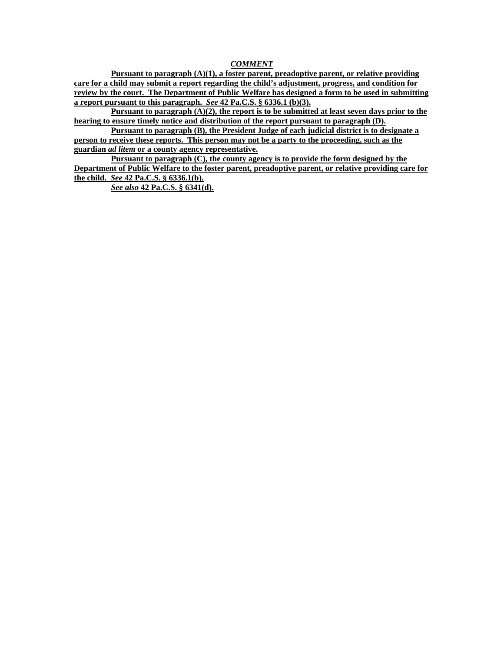#### *COMMENT*

**Pursuant to paragraph (A)(1), a foster parent, preadoptive parent, or relative providing care for a child may submit a report regarding the child's adjustment, progress, and condition for review by the court. The Department of Public Welfare has designed a form to be used in submitting a report pursuant to this paragraph.** *See* **42 Pa.C.S. § 6336.1 (b)(3).** 

**Pursuant to paragraph (A)(2), the report is to be submitted at least seven days prior to the hearing to ensure timely notice and distribution of the report pursuant to paragraph (D).**

**Pursuant to paragraph (B), the President Judge of each judicial district is to designate a person to receive these reports. This person may not be a party to the proceeding, such as the guardian** *ad litem* **or a county agency representative.** 

**Pursuant to paragraph (C), the county agency is to provide the form designed by the Department of Public Welfare to the foster parent, preadoptive parent, or relative providing care for the child.** *See* **42 Pa.C.S. § 6336.1(b).**

*See also* **42 Pa.C.S. § 6341(d).**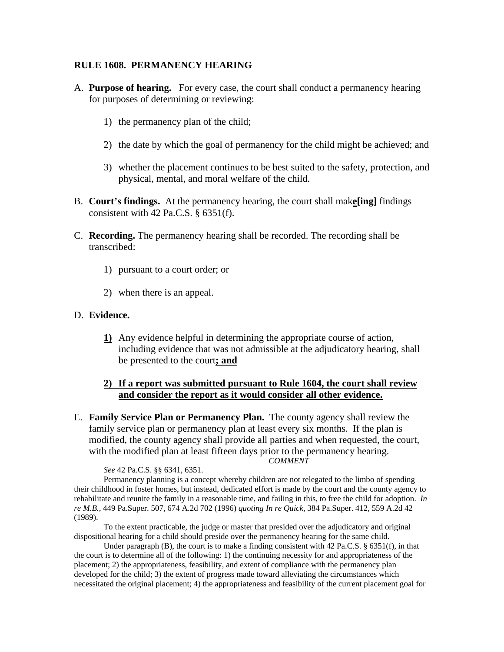#### **RULE 1608. PERMANENCY HEARING**

- A. **Purpose of hearing.** For every case, the court shall conduct a permanency hearing for purposes of determining or reviewing:
	- 1) the permanency plan of the child;
	- 2) the date by which the goal of permanency for the child might be achieved; and
	- 3) whether the placement continues to be best suited to the safety, protection, and physical, mental, and moral welfare of the child.
- B. **Court's findings.** At the permanency hearing, the court shall mak**e[ing]** findings consistent with 42 Pa.C.S.  $\S$  6351(f).
- C. **Recording.** The permanency hearing shall be recorded. The recording shall be transcribed:
	- 1) pursuant to a court order; or
	- 2) when there is an appeal.

#### D. **Evidence.**

**1)** Any evidence helpful in determining the appropriate course of action, including evidence that was not admissible at the adjudicatory hearing, shall be presented to the court**; and**

#### **2) If a report was submitted pursuant to Rule 1604, the court shall review and consider the report as it would consider all other evidence.**

E. **Family Service Plan or Permanency Plan.** The county agency shall review the family service plan or permanency plan at least every six months. If the plan is modified, the county agency shall provide all parties and when requested, the court, with the modified plan at least fifteen days prior to the permanency hearing. *COMMENT* 

*See* 42 Pa.C.S. §§ 6341, 6351.

 Permanency planning is a concept whereby children are not relegated to the limbo of spending their childhood in foster homes, but instead, dedicated effort is made by the court and the county agency to rehabilitate and reunite the family in a reasonable time, and failing in this, to free the child for adoption. *In re M.B.*, 449 Pa.Super. 507, 674 A.2d 702 (1996) *quoting In re Quick*, 384 Pa.Super. 412, 559 A.2d 42 (1989).

To the extent practicable, the judge or master that presided over the adjudicatory and original dispositional hearing for a child should preside over the permanency hearing for the same child.

Under paragraph (B), the court is to make a finding consistent with 42 Pa.C.S.  $\S$  6351(f), in that the court is to determine all of the following: 1) the continuing necessity for and appropriateness of the placement; 2) the appropriateness, feasibility, and extent of compliance with the permanency plan developed for the child; 3) the extent of progress made toward alleviating the circumstances which necessitated the original placement; 4) the appropriateness and feasibility of the current placement goal for